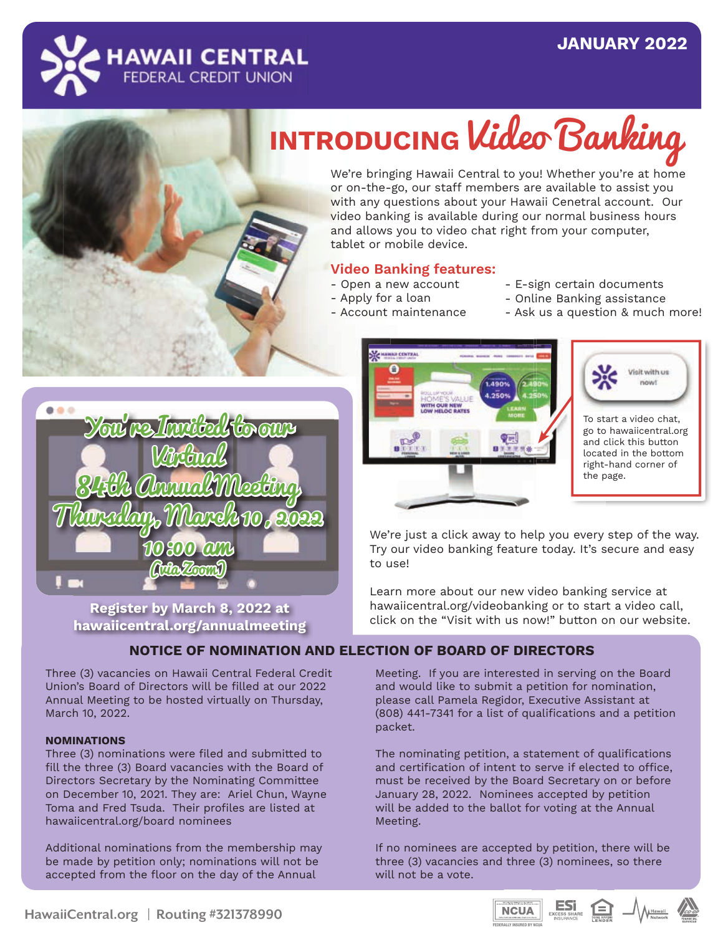# **JANUARY 2022 JANUARY 2021**



**In the New York Warren** 

## **INTRODUCING Video Banking CUNTUR Surcharge-Free ATM**

We're bringing Hawaii Central to you! Whether you're at home **Services For Instant Cash** or on-the-go, our staff members are available to assist you **Requirements** with any questions about your Hawaii Cenetral account. Our video banking is available during our normal business hours and allows you to video chat right from your computer, tablet or mobile device. r you re at nom<sub>s</sub>

### **Video Banking features:**

- Open a new account
- Apply for a loan
- Account maintenance
- E-sign certain documents
- Online Banking assistance
- Ask us a question & much more!



**CENTRAL CHECKING** 

Hawaii Central Federal Credit Union has rebranded Share Draft Checking to Central Checking. We want to entitled to our members that it's convenient to use your Central Checking account. In the New Year, try maximizing your time by depositing a check in your account from your mobile device and utilizing the features of mobile banking. Our debit card has no monthly fees or balance fees or

> **Register by March 8, 2022 at Saturday, March 13, 2021 hawaiicentral.org/annualmeeting**

#### **NOTICE OF NOMINATION AND ELECTION OF BOARD OF DIRECTORS** by LLLCTION OF BOAT  $\blacksquare$ intent to be if  $\blacksquare$ bined for  $\beta$

Three (3) vacancies on Hawaii Central Federal Credit Union's Board of Directors will be filled at our 2022 Annual Meeting to be hosted virtually on Thursday, March 10, 2022.

#### **NOMINATIONS**

Three (3) nominations were filed and submitted to fill the three (3) Board vacancies with the Board of Directors Secretary by the Nominating Committee on December 10, 2021. They are: Ariel Chun, Wayne Toma and Fred Tsuda. Their profiles are listed at hawaiicentral.org/board nominees

Additional nominations from the membership may be made by petition only; nominations will not be accepted from the floor on the day of the Annual



 $\blacksquare$  We're just a click away to help you every step of the way.  $\blacksquare$  Try our video banking feature today. It's secure and easy to use!  $\blacksquare$  To use:  $\blacksquare$ 

Learn more about our new video banking service at **Example 3** hawaiicentral.org/videobanking or to start a video call, **The light of the "Visit with us now!"** button on our website. submitted to fill the three (3) Board virtually on Saturday, March 13, 2021. of qualifications and certification of

I Meeting. If you are interested in serving on the Board and would like to submit a petition for nomination, please call Pamela Regidor, Executive Assistant at (808) 441-7341 for a list of qualifications and a petition packet. The packet  $\mathbf{p}$ confirmation of signatures by the signature

 $\blacksquare$  The nominating petition, a statement of qualifications and certification of intent to serve if elected to office, must be received by the Board Secretary on or before January 28, 2022. Nominees accepted by petition bandary 26, 2022. Nominees accepted by petition<br>will be added to the ballot for voting at the Annual for nomination, please call Pamela and Pamela and Pamela and Pamela and Pamela and Pamela and Pamela and Pamel Regidor, Executive Assistant, at rang at the Annual

If no nominees are accepted by petition, there will be three (3) vacancies and three (3) nominees, so there will not be a vote.